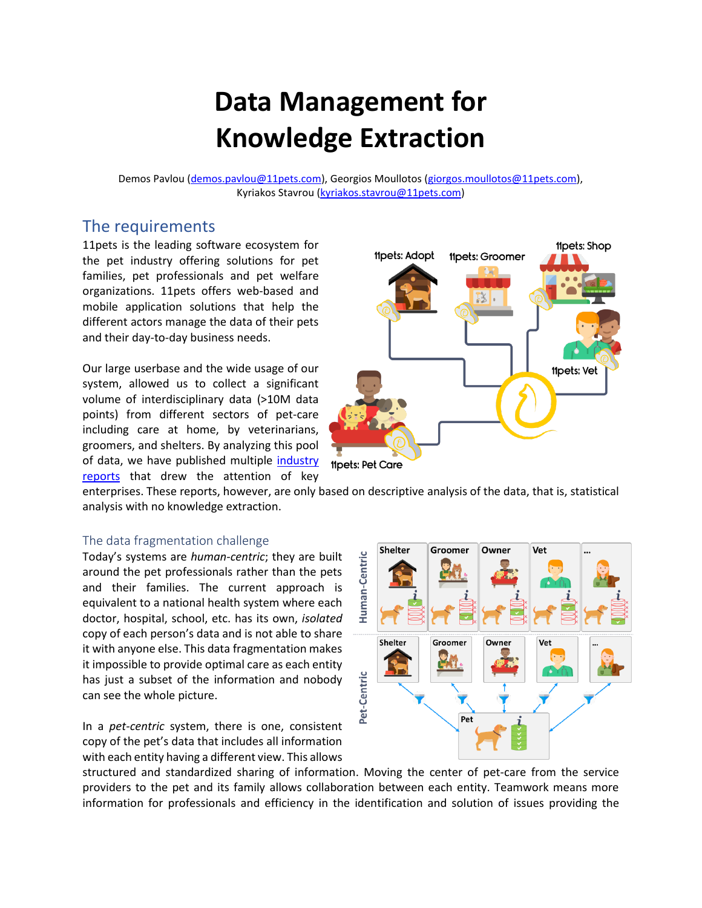# **Data Management for Knowledge Extraction**

Demos Pavlou [\(demos.pavlou@11pets.com\)](mailto:demos.pavlou@11pets.com), Georgios Moullotos [\(giorgos.moullotos@11pets.com\)](mailto:giorgos.moullotos@11pets.com), Kyriakos Stavrou [\(kyriakos.stavrou@11pets.com\)](mailto:kyriakos.stavrou@11pets.com)

## The requirements

11pets is the leading software ecosystem for the pet industry offering solutions for pet families, pet professionals and pet welfare organizations. 11pets offers web-based and mobile application solutions that help the different actors manage the data of their pets and their day-to-day business needs.

Our large userbase and the wide usage of our system, allowed us to collect a significant volume of interdisciplinary data (>10M data points) from different sectors of pet-care including care at home, by veterinarians, groomers, and shelters. By analyzing this pool of data, we have published multiple [industry](https://www.11pets.com/en/petcare/category/pet-industry-insights)  [reports](https://www.11pets.com/en/petcare/category/pet-industry-insights) that drew the attention of key



enterprises. These reports, however, are only based on descriptive analysis of the data, that is, statistical analysis with no knowledge extraction.

#### The data fragmentation challenge

Today's systems are *human-centric*; they are built around the pet professionals rather than the pets and their families. The current approach is equivalent to a national health system where each doctor, hospital, school, etc. has its own, *isolated* copy of each person's data and is not able to share it with anyone else. This data fragmentation makes it impossible to provide optimal care as each entity has just a subset of the information and nobody can see the whole picture.

In a *pet-centric* system, there is one, consistent copy of the pet's data that includes all information with each entity having a different view. This allows



structured and standardized sharing of information. Moving the center of pet-care from the service providers to the pet and its family allows collaboration between each entity. Teamwork means more information for professionals and efficiency in the identification and solution of issues providing the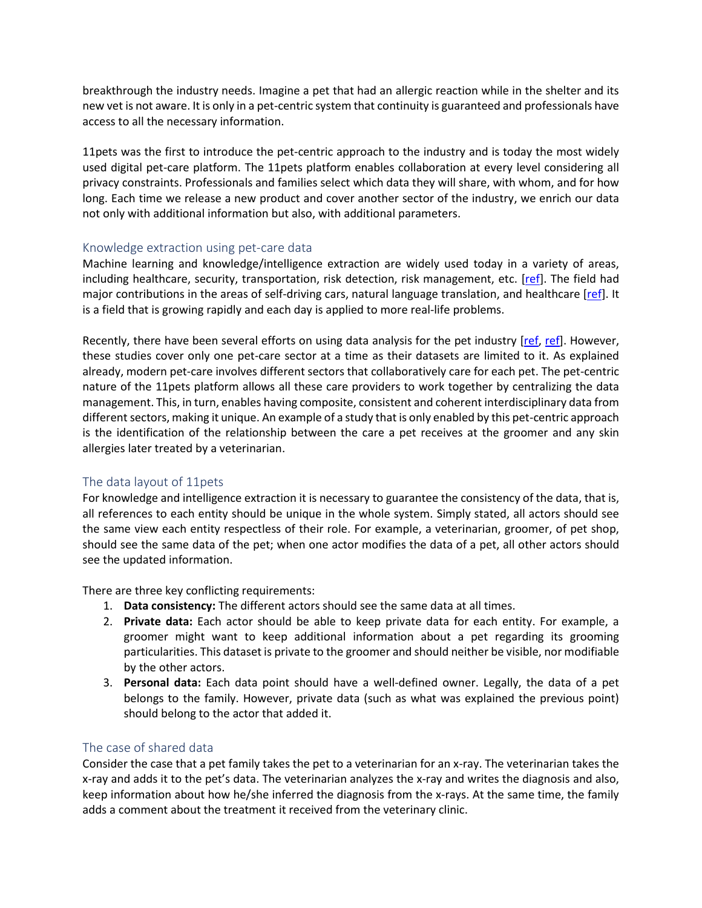breakthrough the industry needs. Imagine a pet that had an allergic reaction while in the shelter and its new vet is not aware. It is only in a pet-centric system that continuity is guaranteed and professionals have access to all the necessary information.

11pets was the first to introduce the pet-centric approach to the industry and is today the most widely used digital pet-care platform. The 11pets platform enables collaboration at every level considering all privacy constraints. Professionals and families select which data they will share, with whom, and for how long. Each time we release a new product and cover another sector of the industry, we enrich our data not only with additional information but also, with additional parameters.

#### Knowledge extraction using pet-care data

Machine learning and knowledge/intelligence extraction are widely used today in a variety of areas, including healthcare, security, transportation, risk detection, risk management, etc. [\[ref\]](https://www.upgrad.com/blog/data-analytics-applications/). The field had major contributions in the areas of self-driving cars, natural language translation, and healthcare [\[ref\]](https://www.cio.com/article/3564694/healthcare-analytics-success-stories.html). It is a field that is growing rapidly and each day is applied to more real-life problems.

Recently, there have been several efforts on using data analysis for the pet industry [\[ref,](https://dl.acm.org/doi/abs/10.1145/3305160.3305164) [ref\]](https://www.computerweekly.com/news/252490238/CDO-interview-Pets-at-Home-uses-data-analytics-to-further-petcare-ecosystem). However, these studies cover only one pet-care sector at a time as their datasets are limited to it. As explained already, modern pet-care involves different sectors that collaboratively care for each pet. The pet-centric nature of the 11pets platform allows all these care providers to work together by centralizing the data management. This, in turn, enables having composite, consistent and coherent interdisciplinary data from different sectors, making it unique. An example of a study that is only enabled by this pet-centric approach is the identification of the relationship between the care a pet receives at the groomer and any skin allergies later treated by a veterinarian.

## The data layout of 11pets

For knowledge and intelligence extraction it is necessary to guarantee the consistency of the data, that is, all references to each entity should be unique in the whole system. Simply stated, all actors should see the same view each entity respectless of their role. For example, a veterinarian, groomer, of pet shop, should see the same data of the pet; when one actor modifies the data of a pet, all other actors should see the updated information.

There are three key conflicting requirements:

- 1. **Data consistency:** The different actors should see the same data at all times.
- 2. **Private data:** Each actor should be able to keep private data for each entity. For example, a groomer might want to keep additional information about a pet regarding its grooming particularities. This dataset is private to the groomer and should neither be visible, nor modifiable by the other actors.
- 3. **Personal data:** Each data point should have a well-defined owner. Legally, the data of a pet belongs to the family. However, private data (such as what was explained the previous point) should belong to the actor that added it.

## The case of shared data

Consider the case that a pet family takes the pet to a veterinarian for an x-ray. The veterinarian takes the x-ray and adds it to the pet's data. The veterinarian analyzes the x-ray and writes the diagnosis and also, keep information about how he/she inferred the diagnosis from the x-rays. At the same time, the family adds a comment about the treatment it received from the veterinary clinic.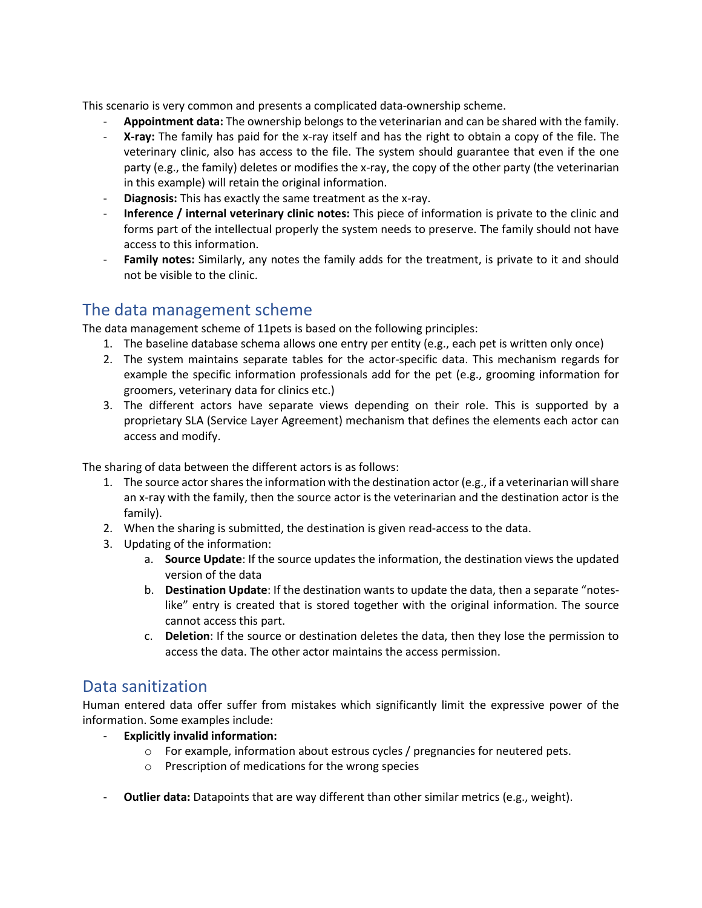This scenario is very common and presents a complicated data-ownership scheme.

- **Appointment data:** The ownership belongs to the veterinarian and can be shared with the family.
- **X-ray:** The family has paid for the x-ray itself and has the right to obtain a copy of the file. The veterinary clinic, also has access to the file. The system should guarantee that even if the one party (e.g., the family) deletes or modifies the x-ray, the copy of the other party (the veterinarian in this example) will retain the original information.
- **Diagnosis:** This has exactly the same treatment as the x-ray.
- **Inference / internal veterinary clinic notes:** This piece of information is private to the clinic and forms part of the intellectual properly the system needs to preserve. The family should not have access to this information.
- Family notes: Similarly, any notes the family adds for the treatment, is private to it and should not be visible to the clinic.

## The data management scheme

The data management scheme of 11pets is based on the following principles:

- 1. The baseline database schema allows one entry per entity (e.g., each pet is written only once)
- 2. The system maintains separate tables for the actor-specific data. This mechanism regards for example the specific information professionals add for the pet (e.g., grooming information for groomers, veterinary data for clinics etc.)
- 3. The different actors have separate views depending on their role. This is supported by a proprietary SLA (Service Layer Agreement) mechanism that defines the elements each actor can access and modify.

The sharing of data between the different actors is as follows:

- 1. The source actor shares the information with the destination actor (e.g., if a veterinarian will share an x-ray with the family, then the source actor is the veterinarian and the destination actor is the family).
- 2. When the sharing is submitted, the destination is given read-access to the data.
- 3. Updating of the information:
	- a. **Source Update**: If the source updates the information, the destination views the updated version of the data
	- b. **Destination Update**: If the destination wants to update the data, then a separate "noteslike" entry is created that is stored together with the original information. The source cannot access this part.
	- c. **Deletion**: If the source or destination deletes the data, then they lose the permission to access the data. The other actor maintains the access permission.

# Data sanitization

Human entered data offer suffer from mistakes which significantly limit the expressive power of the information. Some examples include:

- **Explicitly invalid information:**
	- o For example, information about estrous cycles / pregnancies for neutered pets.
	- o Prescription of medications for the wrong species
- **Outlier data:** Datapoints that are way different than other similar metrics (e.g., weight).